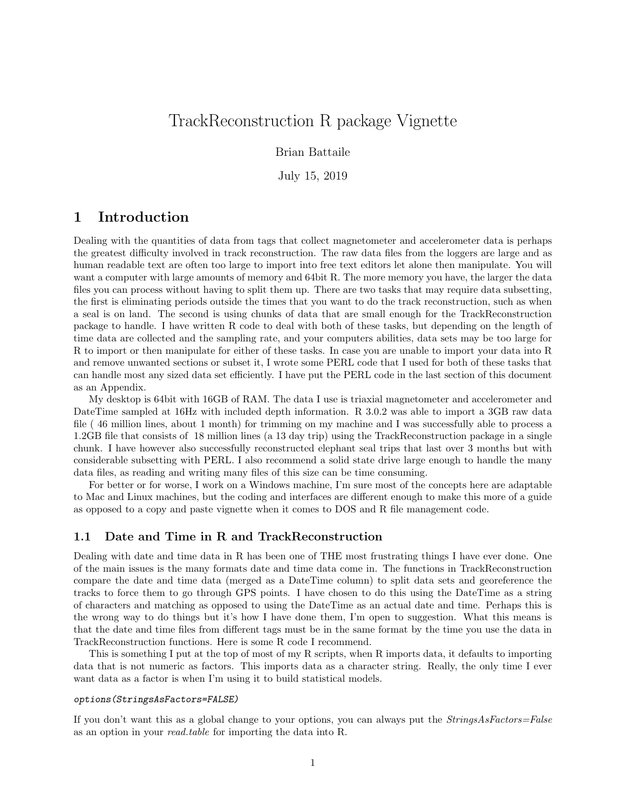# TrackReconstruction R package Vignette

Brian Battaile

July 15, 2019

## 1 Introduction

Dealing with the quantities of data from tags that collect magnetometer and accelerometer data is perhaps the greatest difficulty involved in track reconstruction. The raw data files from the loggers are large and as human readable text are often too large to import into free text editors let alone then manipulate. You will want a computer with large amounts of memory and 64bit R. The more memory you have, the larger the data files you can process without having to split them up. There are two tasks that may require data subsetting, the first is eliminating periods outside the times that you want to do the track reconstruction, such as when a seal is on land. The second is using chunks of data that are small enough for the TrackReconstruction package to handle. I have written R code to deal with both of these tasks, but depending on the length of time data are collected and the sampling rate, and your computers abilities, data sets may be too large for R to import or then manipulate for either of these tasks. In case you are unable to import your data into R and remove unwanted sections or subset it, I wrote some PERL code that I used for both of these tasks that can handle most any sized data set efficiently. I have put the PERL code in the last section of this document as an Appendix.

My desktop is 64bit with 16GB of RAM. The data I use is triaxial magnetometer and accelerometer and DateTime sampled at 16Hz with included depth information. R 3.0.2 was able to import a 3GB raw data file ( 46 million lines, about 1 month) for trimming on my machine and I was successfully able to process a 1.2GB file that consists of 18 million lines (a 13 day trip) using the TrackReconstruction package in a single chunk. I have however also successfully reconstructed elephant seal trips that last over 3 months but with considerable subsetting with PERL. I also recommend a solid state drive large enough to handle the many data files, as reading and writing many files of this size can be time consuming.

For better or for worse, I work on a Windows machine, I'm sure most of the concepts here are adaptable to Mac and Linux machines, but the coding and interfaces are different enough to make this more of a guide as opposed to a copy and paste vignette when it comes to DOS and R file management code.

### 1.1 Date and Time in R and TrackReconstruction

Dealing with date and time data in R has been one of THE most frustrating things I have ever done. One of the main issues is the many formats date and time data come in. The functions in TrackReconstruction compare the date and time data (merged as a DateTime column) to split data sets and georeference the tracks to force them to go through GPS points. I have chosen to do this using the DateTime as a string of characters and matching as opposed to using the DateTime as an actual date and time. Perhaps this is the wrong way to do things but it's how I have done them, I'm open to suggestion. What this means is that the date and time files from different tags must be in the same format by the time you use the data in TrackReconstruction functions. Here is some R code I recommend.

This is something I put at the top of most of my R scripts, when R imports data, it defaults to importing data that is not numeric as factors. This imports data as a character string. Really, the only time I ever want data as a factor is when I'm using it to build statistical models.

#### options(StringsAsFactors=FALSE)

If you don't want this as a global change to your options, you can always put the *StringsAsFactors=False* as an option in your read.table for importing the data into R.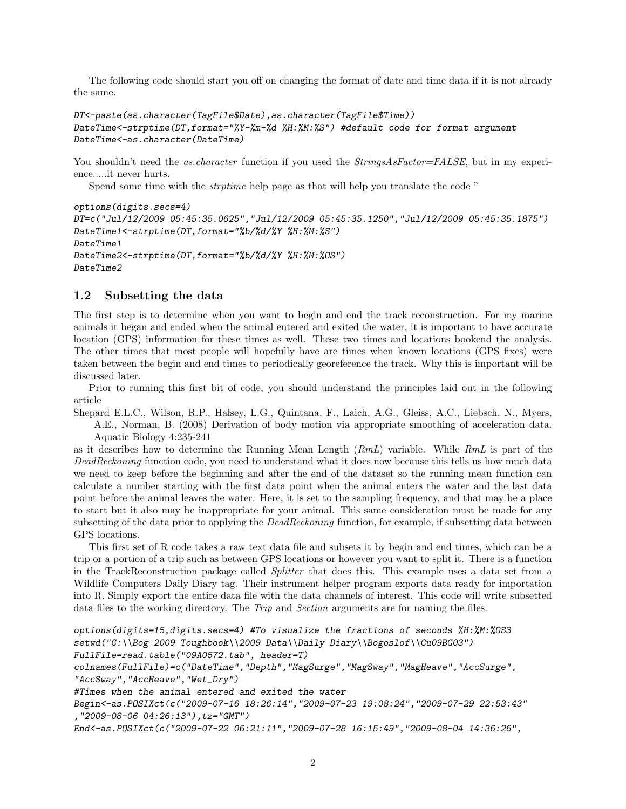The following code should start you off on changing the format of date and time data if it is not already the same.

```
DT<-paste(as.character(TagFile$Date),as.character(TagFile$Time))
DateTime<-strptime(DT,format="%Y-%m-%d %H:%M:%S") #default code for format argument
DateTime<-as.character(DateTime)
```
You shouldn't need the as.character function if you used the StringsAsFactor=FALSE, but in my experience.....it never hurts.

Spend some time with the strptime help page as that will help you translate the code "

```
options(digits.secs=4)
DT=c("Jul/12/2009 05:45:35.0625","Jul/12/2009 05:45:35.1250","Jul/12/2009 05:45:35.1875")
DateTime1<-strptime(DT,format="%b/%d/%Y %H:%M:%S")
DateTime1
DateTime2<-strptime(DT,format="%b/%d/%Y %H:%M:%OS")
DateTime2
```
#### 1.2 Subsetting the data

The first step is to determine when you want to begin and end the track reconstruction. For my marine animals it began and ended when the animal entered and exited the water, it is important to have accurate location (GPS) information for these times as well. These two times and locations bookend the analysis. The other times that most people will hopefully have are times when known locations (GPS fixes) were taken between the begin and end times to periodically georeference the track. Why this is important will be discussed later.

Prior to running this first bit of code, you should understand the principles laid out in the following article

Shepard E.L.C., Wilson, R.P., Halsey, L.G., Quintana, F., Laich, A.G., Gleiss, A.C., Liebsch, N., Myers, A.E., Norman, B. (2008) Derivation of body motion via appropriate smoothing of acceleration data. Aquatic Biology 4:235-241

as it describes how to determine the Running Mean Length  $(RmL)$  variable. While  $RmL$  is part of the DeadReckoning function code, you need to understand what it does now because this tells us how much data we need to keep before the beginning and after the end of the dataset so the running mean function can calculate a number starting with the first data point when the animal enters the water and the last data point before the animal leaves the water. Here, it is set to the sampling frequency, and that may be a place to start but it also may be inappropriate for your animal. This same consideration must be made for any subsetting of the data prior to applying the *DeadReckoning* function, for example, if subsetting data between GPS locations.

This first set of R code takes a raw text data file and subsets it by begin and end times, which can be a trip or a portion of a trip such as between GPS locations or however you want to split it. There is a function in the TrackReconstruction package called Splitter that does this. This example uses a data set from a Wildlife Computers Daily Diary tag. Their instrument helper program exports data ready for importation into R. Simply export the entire data file with the data channels of interest. This code will write subsetted data files to the working directory. The Trip and Section arguments are for naming the files.

```
options(digits=15,digits.secs=4) #To visualize the fractions of seconds H:\#M:\#0S3setwd("G:\\Bog 2009 Toughbook\\2009 Data\\Daily Diary\\Bogoslof\\Cu09BG03")
FullFile=read.table("09A0572.tab", header=T)
colnames(FullFile)=c("DateTime","Depth","MagSurge","MagSway","MagHeave","AccSurge",
"AccSway", "AccHeave", "Wet_Dry")
#Times when the animal entered and exited the water
Begin<-as.POSIXct(c("2009-07-16 18:26:14","2009-07-23 19:08:24","2009-07-29 22:53:43"
,"2009-08-06 04:26:13"),tz="GMT")
End<-as.POSIXct(c("2009-07-22 06:21:11","2009-07-28 16:15:49","2009-08-04 14:36:26",
```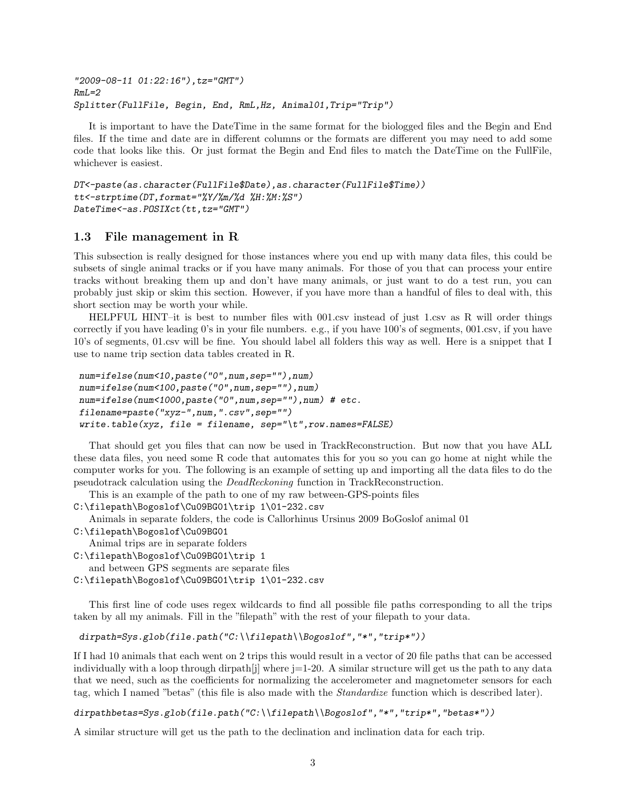"2009-08-11 01:22:16"),tz="GMT")  $RmI=2$ Splitter(FullFile, Begin, End, RmL,Hz, Animal01,Trip="Trip")

It is important to have the DateTime in the same format for the biologged files and the Begin and End files. If the time and date are in different columns or the formats are different you may need to add some code that looks like this. Or just format the Begin and End files to match the DateTime on the FullFile, whichever is easiest.

```
DT<-paste(as.character(FullFile$Date),as.character(FullFile$Time))
tt<-strptime(DT,format="%Y/%m/%d %H:%M:%S")
DateTime<-as.POSIXct(tt,tz="GMT")
```
### 1.3 File management in R

This subsection is really designed for those instances where you end up with many data files, this could be subsets of single animal tracks or if you have many animals. For those of you that can process your entire tracks without breaking them up and don't have many animals, or just want to do a test run, you can probably just skip or skim this section. However, if you have more than a handful of files to deal with, this short section may be worth your while.

HELPFUL HINT–it is best to number files with 001.csv instead of just 1.csv as R will order things correctly if you have leading 0's in your file numbers. e.g., if you have 100's of segments, 001.csv, if you have 10's of segments, 01.csv will be fine. You should label all folders this way as well. Here is a snippet that I use to name trip section data tables created in R.

```
num=ifelse(num<10,paste("0",num,sep=""),num)
num=ifelse(num<100,paste("0",num,sep=""),num)
num=ifelse(num<1000,paste("0",num,sep=""),num) # etc.
filename=paste("xyz-",num,".csv",sep="")
write.\table(xyz, file = filename, sep='\\t", row.name = FALSE)
```
That should get you files that can now be used in TrackReconstruction. But now that you have ALL these data files, you need some R code that automates this for you so you can go home at night while the computer works for you. The following is an example of setting up and importing all the data files to do the pseudotrack calculation using the DeadReckoning function in TrackReconstruction.

This is an example of the path to one of my raw between-GPS-points files

C:\filepath\Bogoslof\Cu09BG01\trip 1\01-232.csv

Animals in separate folders, the code is Callorhinus Ursinus 2009 BoGoslof animal 01

C:\filepath\Bogoslof\Cu09BG01

Animal trips are in separate folders

C:\filepath\Bogoslof\Cu09BG01\trip 1

and between GPS segments are separate files

C:\filepath\Bogoslof\Cu09BG01\trip 1\01-232.csv

This first line of code uses regex wildcards to find all possible file paths corresponding to all the trips taken by all my animals. Fill in the "filepath" with the rest of your filepath to your data.

```
dirpath=Sys.glob(file.path("C:\\filepath\\Bogoslof","*","trip*"))
```
If I had 10 animals that each went on 2 trips this would result in a vector of 20 file paths that can be accessed individually with a loop through dirpath is where  $j=1$ -20. A similar structure will get us the path to any data that we need, such as the coefficients for normalizing the accelerometer and magnetometer sensors for each tag, which I named "betas" (this file is also made with the Standardize function which is described later).

dirpathbetas=Sys.glob(file.path("C:\\filepath\\Bogoslof","\*","trip\*","betas\*"))

A similar structure will get us the path to the declination and inclination data for each trip.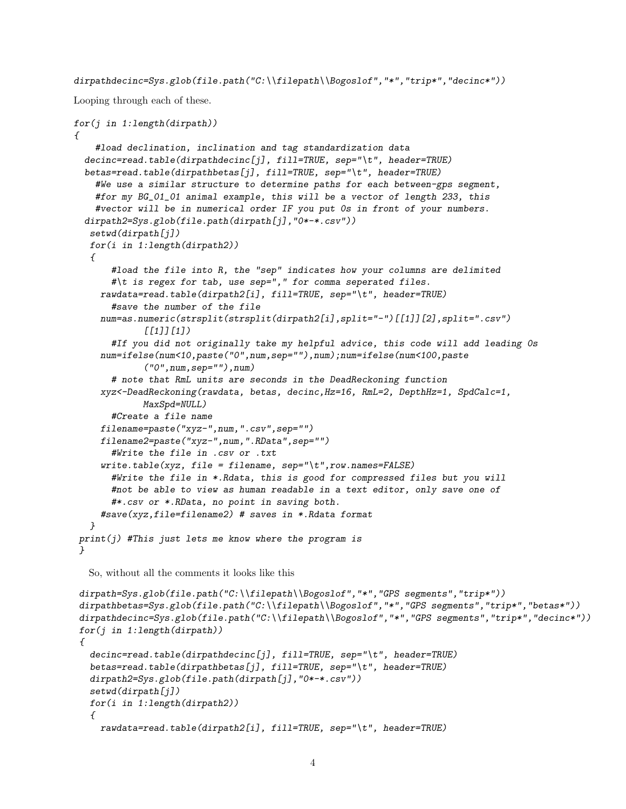dirpathdecinc=Sys.glob(file.path("C:\\filepath\\Bogoslof","\*","trip\*","decinc\*"))

Looping through each of these.

```
for(j in 1:length(dirpath))
\sqrt{ }#load declination, inclination and tag standardization data
  decinc=read.table(dirpathdecinc[j], fill=TRUE, sep="\t", header=TRUE)betas=read.table(dirpathbetas[j], fill=TRUE, sep="\t", header=TRUE)
    #We use a similar structure to determine paths for each between-gps segment,
    #for my BG_01_01 animal example, this will be a vector of length 233, this
    #vector will be in numerical order IF you put 0s in front of your numbers.
  dirpath2=Sys.glob(file.path(dirpath[j],"0*-*.csv"))
   setwd(dirpath[j])
  for(i in 1:length(dirpath2))
   {
       #load the file into R, the "sep" indicates how your columns are delimited
       #\t is regex for tab, use sep="," for comma seperated files.
     rawdata=read.table(dirpath2[i], fill=TRUE, sep="\t", header=TRUE)
       #save the number of the file
     num=as.numeric(strsplit(strsplit(dirpath2[i],split="-")[[1]][2],split=".csv")
             [[1]][1])
       #If you did not originally take my helpful advice, this code will add leading 0s
     num=ifelse(num<10,paste("0",num,sep=""),num);num=ifelse(num<100,paste
             ("0",num,sep=""),num)
       # note that RmL units are seconds in the DeadReckoning function
     xyz<-DeadReckoning(rawdata, betas, decinc,Hz=16, RmL=2, DepthHz=1, SpdCalc=1,
             MaxSpd=NULL)
       #Create a file name
     filename=paste("xyz-",num,".csv",sep="")
     filename2=paste("xyz-",num,".RData",sep="")
       #Write the file in .csv or .txt
     write.\text{table}(xyz, \text{file} = \text{filename}, \text{sep} = "\text{t", row}.\text{names} = \text{FALSE})#Write the file in *.Rdata, this is good for compressed files but you will
       #not be able to view as human readable in a text editor, only save one of
       #*.csv or *.RData, no point in saving both.
     #save(xyz,file=filename2) # saves in *.Rdata format
   }
print(j) #This just lets me know where the program is
 }
  So, without all the comments it looks like this
 dirpath=Sys.glob(file.path("C:\\filepath\\Bogoslof","*","GPS segments","trip*"))
 dirpathbetas=Sys.glob(file.path("C:\\filepath\\Bogoslof","*","GPS segments","trip*","betas*"))
 dirpathdecinc=Sys.glob(file.path("C:\\filepath\\Bogoslof","*","GPS segments","trip*","decinc*"))
 for(j in 1:length(dirpath)){
   decinc=read.table(dirpathdecinc[j], fill=TRUE, sep='\\t", header=TRUE)betas=read.table(dirpathbetas[j], fill=TRUE, sep="\t", header=TRUE)
   dirpath2=Sys.glob(file.path(dirpath[j],"0*-*.csv"))
   setwd(dirpath[j])
  for(i in 1:length(dirpath2))
   \sqrt{ }rawdata=read.table(dirpath2[i], fill=TRUE, sep="\t", header=TRUE)
```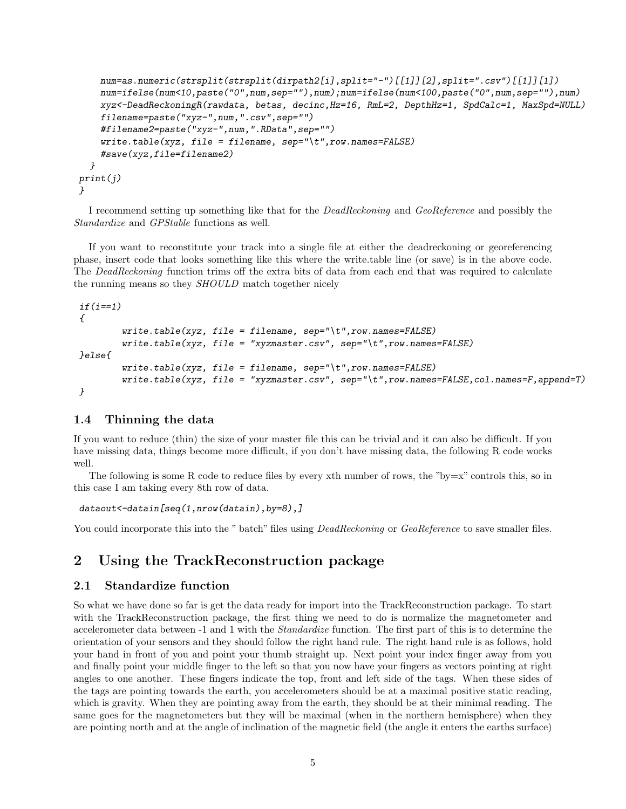```
num=as.numeric(strsplit(strsplit(dirpath2[i],split="-")[[1]][2],split=".csv")[[1]][1])
    num=ifelse(num<10,paste("0",num,sep=""),num);num=ifelse(num<100,paste("0",num,sep=""),num)
    xyz<-DeadReckoningR(rawdata, betas, decinc,Hz=16, RmL=2, DepthHz=1, SpdCalc=1, MaxSpd=NULL)
    filename=paste("xyz-",num,".csv",sep="")
    #filename2=paste("xyz-",num,".RData",sep="")
    write.table(xyz, file = filename, sep="\t", row.names=FALSE)
    #save(xyz,file=filename2)
  }
print(j)
}
```
I recommend setting up something like that for the *DeadReckoning* and *GeoReference* and possibly the Standardize and GPStable functions as well.

If you want to reconstitute your track into a single file at either the deadreckoning or georeferencing phase, insert code that looks something like this where the write.table line (or save) is in the above code. The DeadReckoning function trims off the extra bits of data from each end that was required to calculate the running means so they SHOULD match together nicely

```
if(i==1){
         write.table(xyz, file = filename, sep="\t",row.names=FALSE)
         write.table(xyz, file = "xyzmaster.csv", sep="\t", row.names=FALSE)
}else{
         write.\textit{table}(xyz, \textit{file} = \textit{filename}, \textit{sep} = "\textit{t", row}.\textit{names} = \textit{FALSE})write.table(xyz, file = "xyzmaster.csv", sep="\t",row.names=FALSE,col.names=F,append=T)
}
```
### 1.4 Thinning the data

If you want to reduce (thin) the size of your master file this can be trivial and it can also be difficult. If you have missing data, things become more difficult, if you don't have missing data, the following R code works well.

The following is some R code to reduce files by every xth number of rows, the "by=x" controls this, so in this case I am taking every 8th row of data.

```
dataout<-datain[seq(1,nrow(datain),by=8),]
```
You could incorporate this into the " batch" files using *DeadReckoning* or *GeoReference* to save smaller files.

## 2 Using the TrackReconstruction package

### 2.1 Standardize function

So what we have done so far is get the data ready for import into the TrackReconstruction package. To start with the TrackReconstruction package, the first thing we need to do is normalize the magnetometer and accelerometer data between -1 and 1 with the Standardize function. The first part of this is to determine the orientation of your sensors and they should follow the right hand rule. The right hand rule is as follows, hold your hand in front of you and point your thumb straight up. Next point your index finger away from you and finally point your middle finger to the left so that you now have your fingers as vectors pointing at right angles to one another. These fingers indicate the top, front and left side of the tags. When these sides of the tags are pointing towards the earth, you accelerometers should be at a maximal positive static reading, which is gravity. When they are pointing away from the earth, they should be at their minimal reading. The same goes for the magnetometers but they will be maximal (when in the northern hemisphere) when they are pointing north and at the angle of inclination of the magnetic field (the angle it enters the earths surface)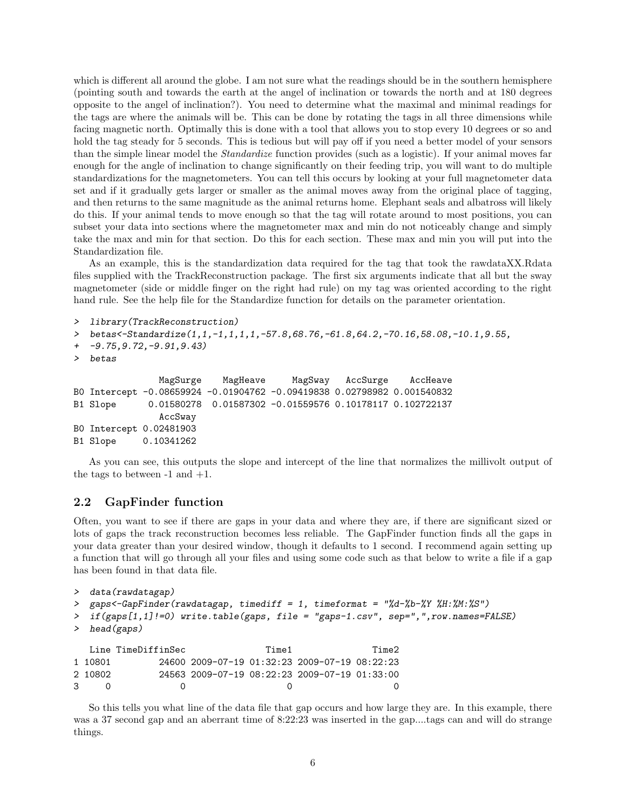which is different all around the globe. I am not sure what the readings should be in the southern hemisphere (pointing south and towards the earth at the angel of inclination or towards the north and at 180 degrees opposite to the angel of inclination?). You need to determine what the maximal and minimal readings for the tags are where the animals will be. This can be done by rotating the tags in all three dimensions while facing magnetic north. Optimally this is done with a tool that allows you to stop every 10 degrees or so and hold the tag steady for 5 seconds. This is tedious but will pay off if you need a better model of your sensors than the simple linear model the Standardize function provides (such as a logistic). If your animal moves far enough for the angle of inclination to change significantly on their feeding trip, you will want to do multiple standardizations for the magnetometers. You can tell this occurs by looking at your full magnetometer data set and if it gradually gets larger or smaller as the animal moves away from the original place of tagging, and then returns to the same magnitude as the animal returns home. Elephant seals and albatross will likely do this. If your animal tends to move enough so that the tag will rotate around to most positions, you can subset your data into sections where the magnetometer max and min do not noticeably change and simply take the max and min for that section. Do this for each section. These max and min you will put into the Standardization file.

As an example, this is the standardization data required for the tag that took the rawdataXX.Rdata files supplied with the TrackReconstruction package. The first six arguments indicate that all but the sway magnetometer (side or middle finger on the right had rule) on my tag was oriented according to the right hand rule. See the help file for the Standardize function for details on the parameter orientation.

```
> library(TrackReconstruction)
```

```
> betas<-Standardize(1,1,-1,1,1,1,-57.8,68.76,-61.8,64.2,-70.16,58.08,-10.1,9.55,
```

```
+ -9.75,9.72,-9.91,9.43)
```

```
> betas
```

```
MagSurge MagHeave MagSway AccSurge AccHeave
B0 Intercept -0.08659924 -0.01904762 -0.09419838 0.02798982 0.001540832
B1 Slope 0.01580278 0.01587302 -0.01559576 0.10178117 0.102722137
              AccSway
B0 Intercept 0.02481903
B1 Slope 0.10341262
```
As you can see, this outputs the slope and intercept of the line that normalizes the millivolt output of the tags to between  $-1$  and  $+1$ .

### 2.2 GapFinder function

Often, you want to see if there are gaps in your data and where they are, if there are significant sized or lots of gaps the track reconstruction becomes less reliable. The GapFinder function finds all the gaps in your data greater than your desired window, though it defaults to 1 second. I recommend again setting up a function that will go through all your files and using some code such as that below to write a file if a gap has been found in that data file.

```
> data(rawdatagap)
```

```
> gaps<-GapFinder(rawdatagap, timediff = 1, timeformat = "%d-%b-%Y %H:%M:%S")
```

```
> if(gaps[1,1]!=0) write.table(gaps, file = "gaps-1.csv", sep=",",row.names=FALSE)
```

```
> head(gaps)
```
Line TimeDiffinSec Time1 Time2 1 10801 24600 2009-07-19 01:32:23 2009-07-19 08:22:23 2 10802 24563 2009-07-19 08:22:23 2009-07-19 01:33:00 3 0 0 0 0

So this tells you what line of the data file that gap occurs and how large they are. In this example, there was a 37 second gap and an aberrant time of 8:22:23 was inserted in the gap....tags can and will do strange things.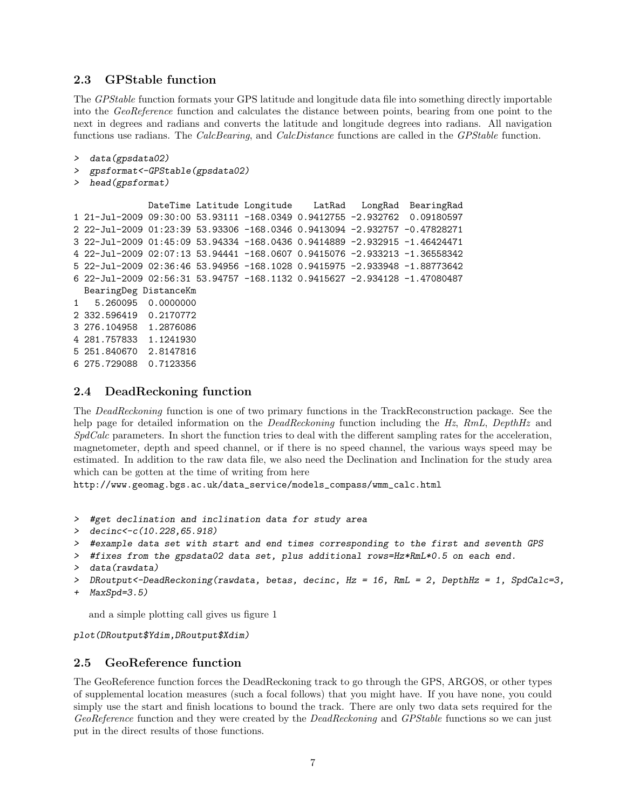### 2.3 GPStable function

The GPStable function formats your GPS latitude and longitude data file into something directly importable into the GeoReference function and calculates the distance between points, bearing from one point to the next in degrees and radians and converts the latitude and longitude degrees into radians. All navigation functions use radians. The CalcBearing, and CalcDistance functions are called in the GPStable function.

```
> data(gpsdata02)
> gpsformat<-GPStable(gpsdata02)
  head(gpsformat)
             DateTime Latitude Longitude LatRad LongRad BearingRad
1 21-Jul-2009 09:30:00 53.93111 -168.0349 0.9412755 -2.932762 0.09180597
2 22-Jul-2009 01:23:39 53.93306 -168.0346 0.9413094 -2.932757 -0.47828271
3 22-Jul-2009 01:45:09 53.94334 -168.0436 0.9414889 -2.932915 -1.46424471
4 22-Jul-2009 02:07:13 53.94441 -168.0607 0.9415076 -2.933213 -1.36558342
5 22-Jul-2009 02:36:46 53.94956 -168.1028 0.9415975 -2.933948 -1.88773642
6 22-Jul-2009 02:56:31 53.94757 -168.1132 0.9415627 -2.934128 -1.47080487
 BearingDeg DistanceKm
1 5.260095 0.0000000
2 332.596419 0.2170772
3 276.104958 1.2876086
4 281.757833 1.1241930
5 251.840670 2.8147816
6 275.729088 0.7123356
```
### 2.4 DeadReckoning function

The DeadReckoning function is one of two primary functions in the TrackReconstruction package. See the help page for detailed information on the *DeadReckoning* function including the Hz, RmL, DepthHz and SpdCalc parameters. In short the function tries to deal with the different sampling rates for the acceleration, magnetometer, depth and speed channel, or if there is no speed channel, the various ways speed may be estimated. In addition to the raw data file, we also need the Declination and Inclination for the study area which can be gotten at the time of writing from here

http://www.geomag.bgs.ac.uk/data\_service/models\_compass/wmm\_calc.html

- > #get declination and inclination data for study area
- > decinc<-c(10.228,65.918)

```
> #example data set with start and end times corresponding to the first and seventh GPS
```
- > #fixes from the gpsdata02 data set, plus additional rows=Hz\*RmL\*0.5 on each end.
- > data(rawdata)

```
> DRoutput<-DeadReckoning(rawdata, betas, decinc, Hz = 16, RmL = 2, DepthHz = 1, SpdCalc=3,
```

```
+ MaxSpd=3.5)
```
and a simple plotting call gives us figure 1

plot(DRoutput\$Ydim,DRoutput\$Xdim)

### 2.5 GeoReference function

The GeoReference function forces the DeadReckoning track to go through the GPS, ARGOS, or other types of supplemental location measures (such a focal follows) that you might have. If you have none, you could simply use the start and finish locations to bound the track. There are only two data sets required for the GeoReference function and they were created by the DeadReckoning and GPStable functions so we can just put in the direct results of those functions.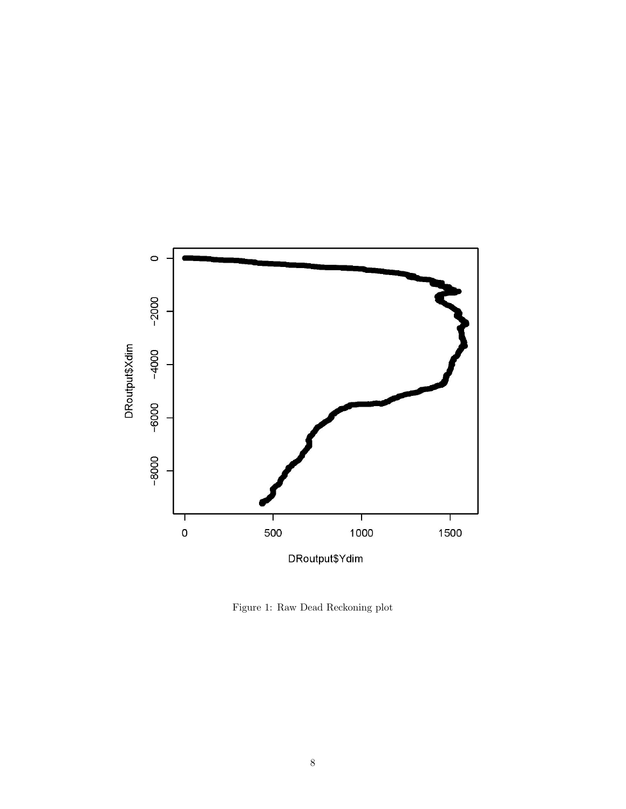

Figure 1: Raw Dead Reckoning plot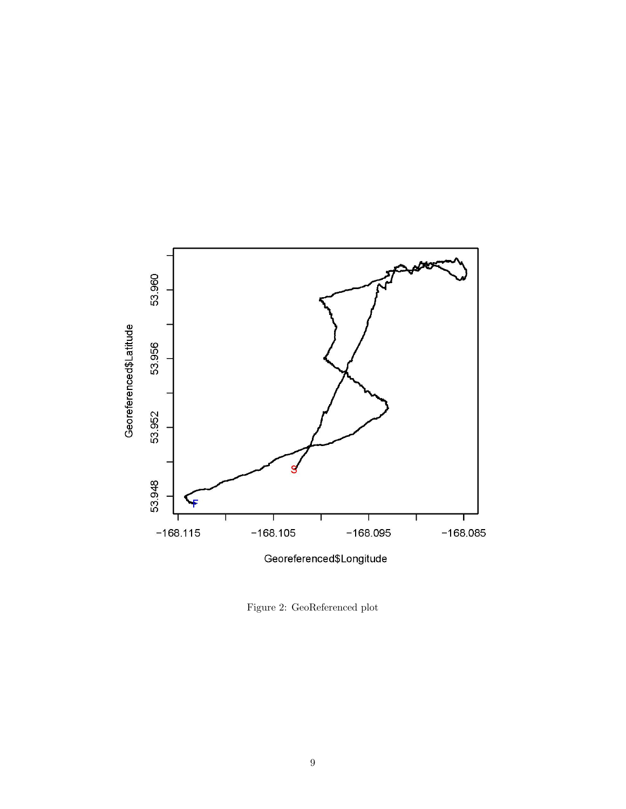

Figure 2: GeoReferenced plot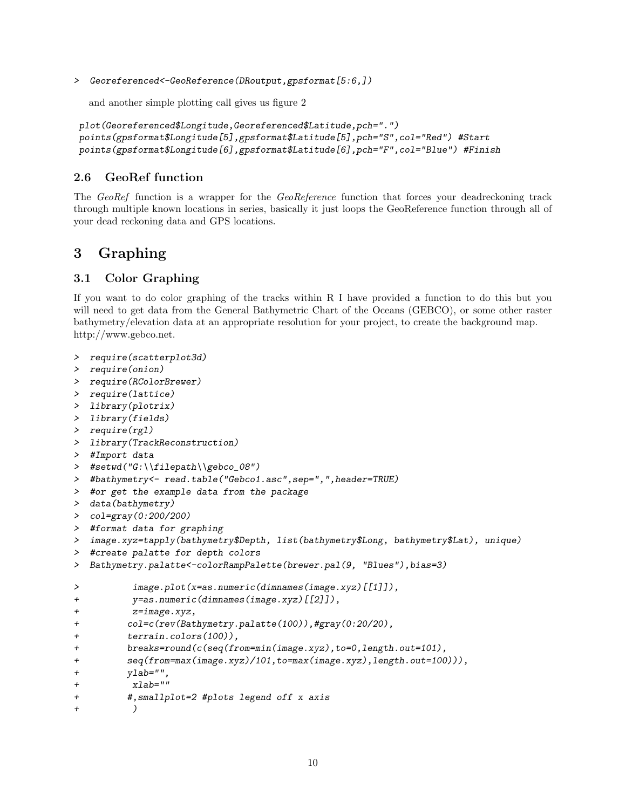> Georeferenced<-GeoReference(DRoutput,gpsformat[5:6,])

and another simple plotting call gives us figure 2

```
plot(Georeferenced$Longitude,Georeferenced$Latitude,pch=".")
points(gpsformat$Longitude[5],gpsformat$Latitude[5],pch="S",col="Red") #Start
points(gpsformat$Longitude[6],gpsformat$Latitude[6],pch="F",col="Blue") #Finish
```
### 2.6 GeoRef function

The GeoRef function is a wrapper for the GeoReference function that forces your deadreckoning track through multiple known locations in series, basically it just loops the GeoReference function through all of your dead reckoning data and GPS locations.

# 3 Graphing

### 3.1 Color Graphing

If you want to do color graphing of the tracks within R I have provided a function to do this but you will need to get data from the General Bathymetric Chart of the Oceans (GEBCO), or some other raster bathymetry/elevation data at an appropriate resolution for your project, to create the background map. http://www.gebco.net.

```
> require(scatterplot3d)
> require(onion)
> require(RColorBrewer)
> require(lattice)
> library(plotrix)
> library(fields)
> require(rgl)
> library(TrackReconstruction)
> #Import data
> #setwd("G:\\filepath\\gebco_08")
> #bathymetry<- read.table("Gebco1.asc",sep=",",header=TRUE)
> #or get the example data from the package
> data(bathymetry)
> col=gray(0:200/200)
> #format data for graphing
> image.xyz=tapply(bathymetry$Depth, list(bathymetry$Long, bathymetry$Lat), unique)
> #create palatte for depth colors
> Bathymetry.palatte<-colorRampPalette(brewer.pal(9, "Blues"),bias=3)
> image.plot(x=as.numeric(dimnames(image.xyz)[[1]]),
+ y=as.numeric(dimnames(image.xyz)[[2]]),
+ z=image.xyz,
+ col=c(rev(Bathymetry.palatte(100)),#gray(0:20/20),
+ terrain.colors(100)),
+ breaks=round(c(seq(from=min(image.xyz),to=0,length.out=101),
+ seq(from=max(image.xyz)/101,to=max(image.xyz),length.out=100))),
+ ylab="",
+ xlab=""
+ #,smallplot=2 #plots legend off x axis
+ )
```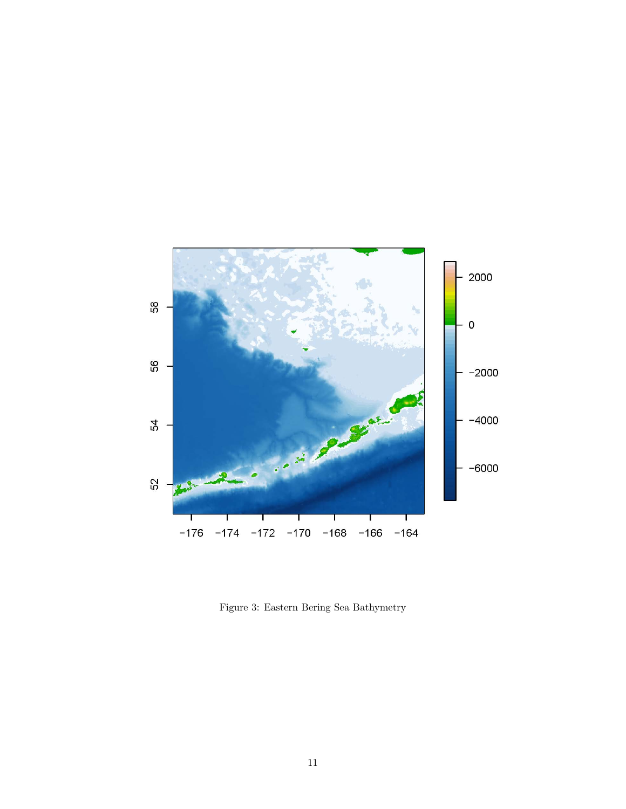

Figure 3: Eastern Bering Sea Bathymetry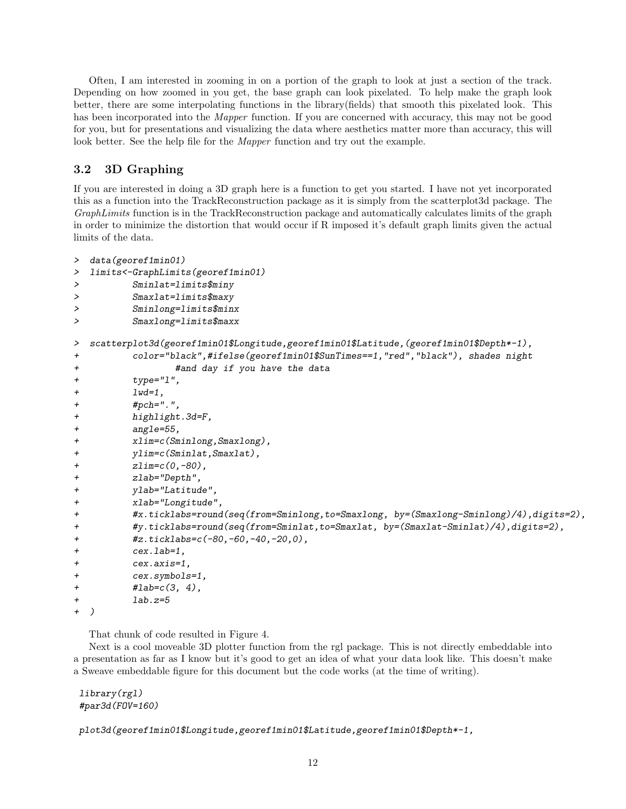Often, I am interested in zooming in on a portion of the graph to look at just a section of the track. Depending on how zoomed in you get, the base graph can look pixelated. To help make the graph look better, there are some interpolating functions in the library(fields) that smooth this pixelated look. This has been incorporated into the *Mapper* function. If you are concerned with accuracy, this may not be good for you, but for presentations and visualizing the data where aesthetics matter more than accuracy, this will look better. See the help file for the Mapper function and try out the example.

### 3.2 3D Graphing

If you are interested in doing a 3D graph here is a function to get you started. I have not yet incorporated this as a function into the TrackReconstruction package as it is simply from the scatterplot3d package. The GraphLimits function is in the TrackReconstruction package and automatically calculates limits of the graph in order to minimize the distortion that would occur if R imposed it's default graph limits given the actual limits of the data.

```
> data(georef1min01)
> limits<-GraphLimits(georef1min01)
> Sminlat=limits$miny
> Smaxlat=limits$maxy
> Sminlong=limits$minx
> Smaxlong=limits$maxx
> scatterplot3d(georef1min01$Longitude,georef1min01$Latitude,(georef1min01$Depth*-1),
+ color="black",#ifelse(georef1min01$SunTimes==1,"red","black"), shades night
+ #and day if you have the data
+ type="l",
+ 1wd=1,
+ #pch=".",
+ highlight.3d=F,
+ angle=55,
+ xlim=c(Sminlong,Smaxlong),
+ ylim=c(Sminlat,Smaxlat),
+ zlim=c(0,-80),
+ zlab="Depth",
+ ylab="Latitude",
+ xlab="Longitude",
+ #x.ticklabs=round(seq(from=Sminlong,to=Smaxlong, by=(Smaxlong-Sminlong)/4),digits=2),
+ #y.ticklabs=round(seq(from=Sminlat,to=Smaxlat, by=(Smaxlat-Sminlat)/4),digits=2),
+ #z.ticklabs=c(-80,-60,-40,-20,0),
+ cex.lab=1,
+ cex.axis=1,
+ cex.symbols=1,
+ \#lab=c(3, 4),
+ lab.z=5
  \lambda
```
That chunk of code resulted in Figure 4.

Next is a cool moveable 3D plotter function from the rgl package. This is not directly embeddable into a presentation as far as I know but it's good to get an idea of what your data look like. This doesn't make a Sweave embeddable figure for this document but the code works (at the time of writing).

library(rgl) #par3d(FOV=160)

plot3d(georef1min01\$Longitude,georef1min01\$Latitude,georef1min01\$Depth\*-1,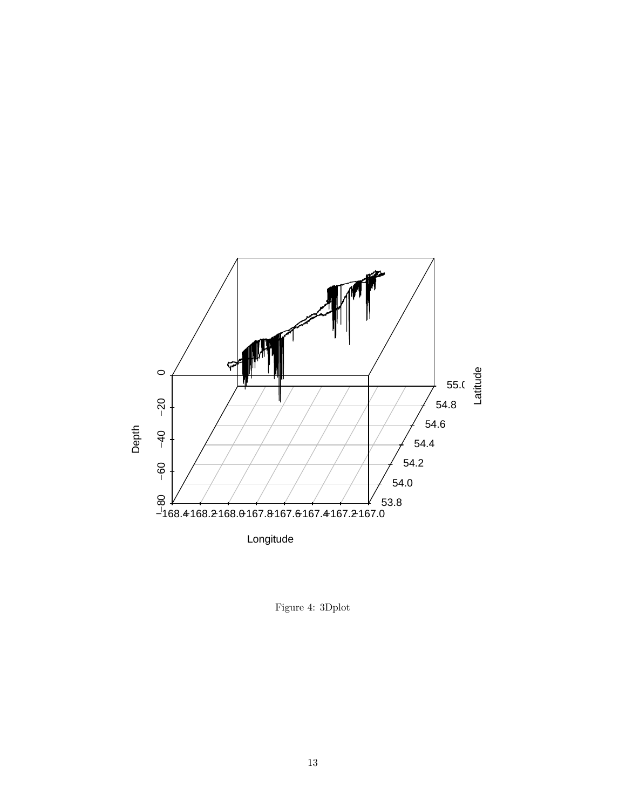

Figure 4: 3Dplot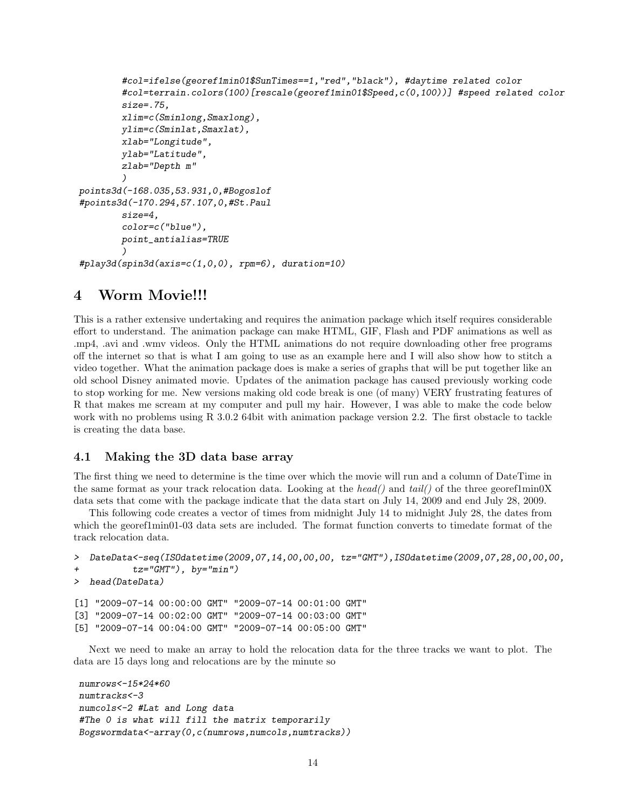```
#col=ifelse(georef1min01$SunTimes==1,"red","black"), #daytime related color
        #col=terrain.colors(100)[rescale(georef1min01$Speed,c(0,100))] #speed related color
        size=.75,
        xlim=c(Sminlong,Smaxlong),
        ylim=c(Sminlat,Smaxlat),
        xlab="Longitude",
        ylab="Latitude",
        zlab="Depth m"
        )
points3d(-168.035,53.931,0,#Bogoslof
#points3d(-170.294,57.107,0,#St.Paul
        size=4,
        color=c("blue"),
        point_antialias=TRUE
        )
#play3d(spin3d(axis=c(1,0,0), rpm=6), duration=10)
```
### 4 Worm Movie!!!

This is a rather extensive undertaking and requires the animation package which itself requires considerable effort to understand. The animation package can make HTML, GIF, Flash and PDF animations as well as .mp4, .avi and .wmv videos. Only the HTML animations do not require downloading other free programs off the internet so that is what I am going to use as an example here and I will also show how to stitch a video together. What the animation package does is make a series of graphs that will be put together like an old school Disney animated movie. Updates of the animation package has caused previously working code to stop working for me. New versions making old code break is one (of many) VERY frustrating features of R that makes me scream at my computer and pull my hair. However, I was able to make the code below work with no problems using R 3.0.2 64bit with animation package version 2.2. The first obstacle to tackle is creating the data base.

#### 4.1 Making the 3D data base array

The first thing we need to determine is the time over which the movie will run and a column of DateTime in the same format as your track relocation data. Looking at the head() and tail() of the three georef1min0X data sets that come with the package indicate that the data start on July 14, 2009 and end July 28, 2009.

This following code creates a vector of times from midnight July 14 to midnight July 28, the dates from which the georethmin01-03 data sets are included. The format function converts to timedate format of the track relocation data.

```
> DateData<-seq(ISOdatetime(2009,07,14,00,00,00, tz="GMT"),ISOdatetime(2009,07,28,00,00,00,
+ tz="GMT"), by="min")
```

```
> head(DateData)
```
[1] "2009-07-14 00:00:00 GMT" "2009-07-14 00:01:00 GMT" [3] "2009-07-14 00:02:00 GMT" "2009-07-14 00:03:00 GMT" [5] "2009-07-14 00:04:00 GMT" "2009-07-14 00:05:00 GMT"

Next we need to make an array to hold the relocation data for the three tracks we want to plot. The data are 15 days long and relocations are by the minute so

```
numrows<-15*24*60
numtracks<-3
numcols<-2 #Lat and Long data
#The 0 is what will fill the matrix temporarily
Bogswormdata<-array(0,c(numrows,numcols,numtracks))
```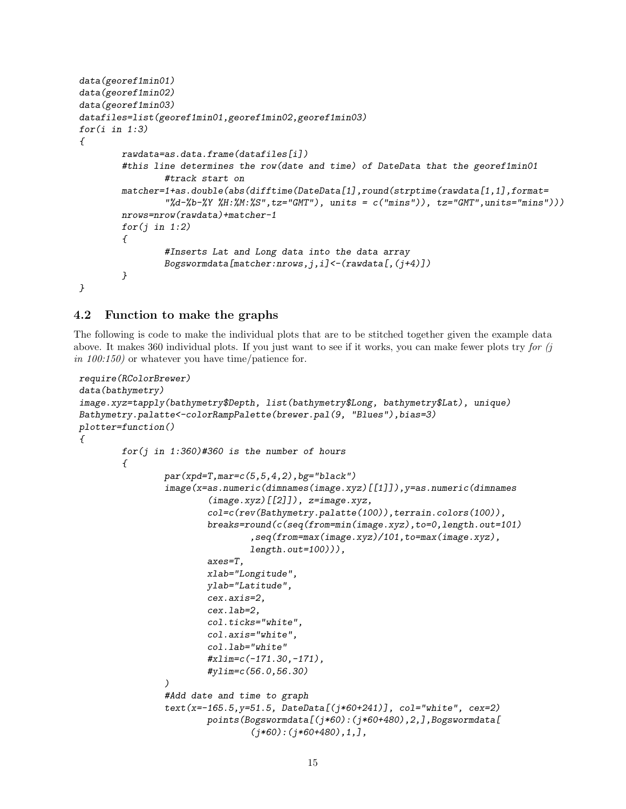```
data(georef1min01)
data(georef1min02)
data(georef1min03)
datafiles=list(georef1min01,georef1min02,georef1min03)
for(i in 1:3){
        rawdata=as.data.frame(datafiles[i])
        #this line determines the row(date and time) of DateData that the georef1min01
                 #track start on
        matcher=1+as.double(abs(difftime(DateData[1],round(strptime(rawdata[1,1],format=
                 "\%d-\%b-\%Y\%H:\%M:\%S",tz="GMT")\ ,\ units=\ c\('mins"))\ ,\ tz="GMT",units="mins"))\ )nrows=nrow(rawdata)+matcher-1
        for(j in 1:2)\overline{f}#Inserts Lat and Long data into the data array
                 Bogswormdata[matcher:nrows, j, i] < - (rawdata[,(j+4)])
        }
}
```
### 4.2 Function to make the graphs

The following is code to make the individual plots that are to be stitched together given the example data above. It makes 360 individual plots. If you just want to see if it works, you can make fewer plots try for (j in 100:150) or whatever you have time/patience for.

```
require(RColorBrewer)
data(bathymetry)
image.xyz=tapply(bathymetry$Depth, list(bathymetry$Long, bathymetry$Lat), unique)
Bathymetry.palatte<-colorRampPalette(brewer.pal(9, "Blues"),bias=3)
plotter=function()
{
        for(j in 1:360)#360 is the number of hours
        {
                 par(xpd=T,mar=c(5,5,4,2), bg="black")image(x=as.numeric(dimnames(image.xyz)[[1]]),y=as.numeric(dimnames
                         (\text{image}.\text{xyz}) [[2]]), z = \text{image}.\text{xyz},
                         col=c(rev(Bathymetry.palatte(100)),terrain.colors(100)),
                         breaks=round(c(seq(from=min(image.xyz),to=0,length.out=101)
                                  ,seq(from=max(image.xyz)/101,to=max(image.xyz),
                                  length.out = 100)),
                         axes=T,
                         xlab="Longitude",
                         ylab="Latitude",
                         cex.axis=2,
                         cex.lab=2,
                         col.ticks="white",
                         col.axis="white",
                         col.lab="white"
                         #xlim=c(-171.30,-171),
                         #ylim=c(56.0,56.30)
                 )
                 #Add date and time to graph
                 text(x=-165.5,y=51.5, DateData[(j*60+241)], col="white", cex=2)
                         points(Bogswormdata[(j*60):(j*60+480),2,],Bogswormdata[
                                  (j*60):(j*60+480),1,],
```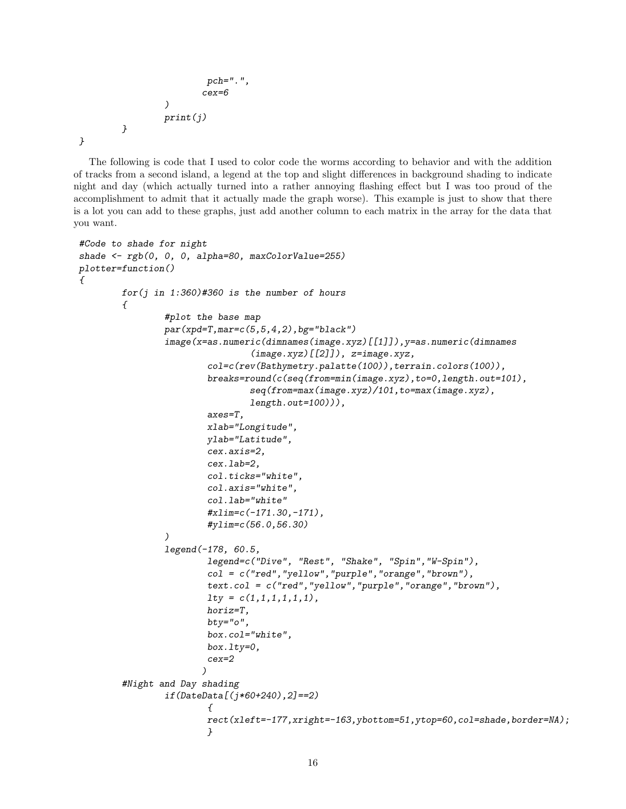```
pch=".",
                          cex=6
                  )
                  print(j)
         }
}
```
The following is code that I used to color code the worms according to behavior and with the addition of tracks from a second island, a legend at the top and slight differences in background shading to indicate night and day (which actually turned into a rather annoying flashing effect but I was too proud of the accomplishment to admit that it actually made the graph worse). This example is just to show that there is a lot you can add to these graphs, just add another column to each matrix in the array for the data that you want.

```
#Code to shade for night
shade \leftarrow rgb(0, 0, 0, alpha=80, maxColorValue=255)
plotter=function()
{
        for(j in 1:360)#360 is the number of hours
        {
                 #plot the base map
                 par(xpd=T,mar=c(5,5,4,2), bg="black")image(x=as.numeric(dimnames(image.xyz)[[1]]),y=as.numeric(dimnames
                                  (image.xyz)[[2]]), z=image.xyz,
                         col=c(rev(Bathymetry.palatte(100)),terrain.colors(100)),
                         breaks=round(c(seq(from=min(image.xyz),to=0,length.out=101),
                                  seq(from=max(image.xyz)/101,to=max(image.xyz),
                                  length.out=100))),
                         axes=T,
                         xlab="Longitude",
                         ylab="Latitude",
                         cex.axis=2,
                         cex.lab=2,
                         col.ticks="white",
                         col.axis="white",
                         col.lab="white"
                         #xlim=c(-171.30,-171),
                         #ylim=c(56.0,56.30)
                 )
                 legend(-178, 60.5,
                         legend=c("Dive", "Rest", "Shake", "Spin","W-Spin"),
                         col = c("red","yellow","purple","orange","brown"),
                         text.col = c("red","yellow","purple","orange","brown"),
                         lty = c(1,1,1,1,1,1),
                         horiz=T,
                         bty="o",box.col="white",
                         box.lty=0,
                         cex=2
                        )
        #Night and Day shading
                 if(DateData[(j*60+240),2]==2)
                         \overline{f}rect(xleft=-177,xright=-163,ybottom=51,ytop=60,col=shade,border=NA);
                         }
```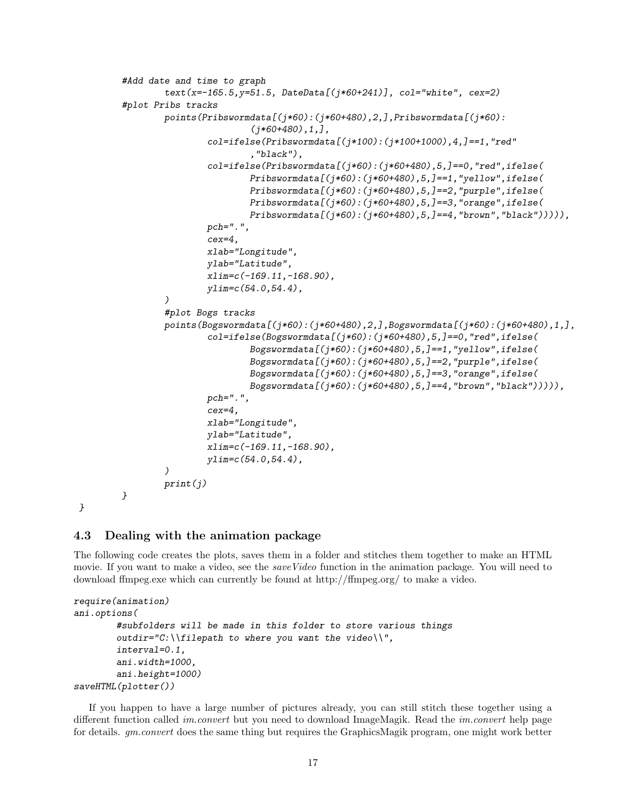```
#Add date and time to graph
        text(x=-165.5,y=51.5, DateData[(j*60+241)], col="white", cex=2)
#plot Pribs tracks
        points(Pribswormdata[(j*60):(j*60+480),2,],Pribswormdata[(j*60):
                        (i*60+480), 1,],
                col=ifelse(Pribswormdata[(j*100):(j*100+1000),4,]=-1,"red","black"),
                col=ifelse(Pribswormdata[(j*60):(j*60+480),5,]==0,"red",ifelse(
                        Pribswormdata[(j*60):(j*60+480),5,]==1,"yellow",ifelse(
                        Pribswormdata[(j*60):(j*60+480),5,]==2,"purple",ifelse(
                        Pribswormdata[(j*60):(j*60+480),5,]==3,"orange",ifelse(
                        Pribswormdata[(j*60):(j*60+480),5,]==4,"brown","black"))))),
                pch=".",
                cex=4,
                xlab="Longitude",
                ylab="Latitude",
                xlim=c(-169.11,-168.90),
                vlim=c(54.0,54.4),
        )
        #plot Bogs tracks
        points(Bogswormdata[(j*60):(j*60+480),2,],Bogswormdata[(j*60):(j*60+480),1,],
                col=ifelse(Bogswormdata[(j*60):(j*60+480),5,]==0,"red",ifelse(
                        Bogswormdata[(j*60):(j*60+480),5,]==1,"yellow",ifelse(
                        Bogswormdata[(j*60):(j*60+480),5,]==2,"purple",ifelse(
                        Bogswormdata[(j*60):(j*60+480),5,]==3,"orange",ifelse(
                        Bogswormdata[(j*60):(j*60+480),5,]==4,"brown","black"))))),
                pch=".",
                cex=4,
                xlab="Longitude",
                ylab="Latitude",
                xlim=c(-169.11,-168.90),
                ylim=c(54.0,54.4),
        )
        print(j)
}
```

```
}
```
### 4.3 Dealing with the animation package

The following code creates the plots, saves them in a folder and stitches them together to make an HTML movie. If you want to make a video, see the *save Video* function in the animation package. You will need to download ffmpeg.exe which can currently be found at http://ffmpeg.org/ to make a video.

```
require(animation)
ani.options(
        #subfolders will be made in this folder to store various things
        outdir="C:\\filepath to where you want the video\\",
        interval=0.1,
        ani.width=1000,
        ani.height=1000)
saveHTML(plotter())
```
If you happen to have a large number of pictures already, you can still stitch these together using a different function called *im.convert* but you need to download ImageMagik. Read the *im.convert* help page for details. gm.convert does the same thing but requires the GraphicsMagik program, one might work better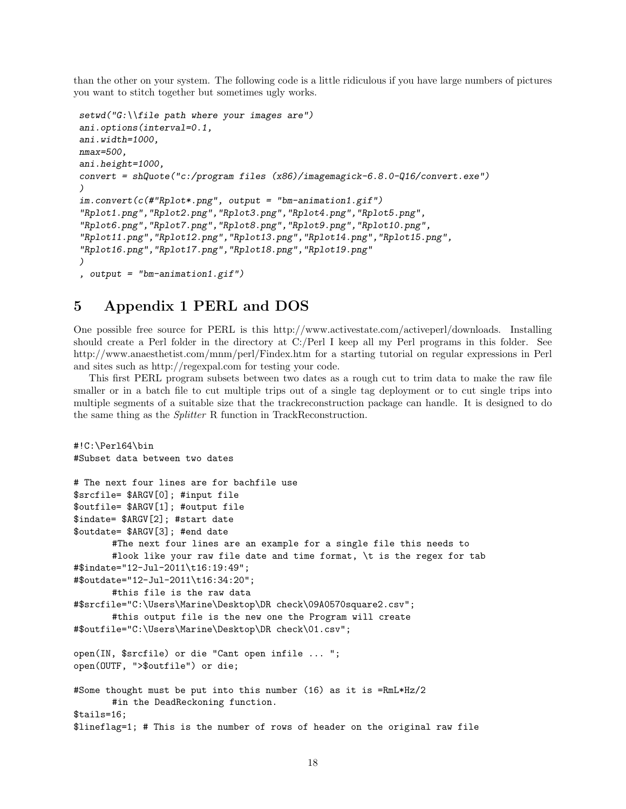than the other on your system. The following code is a little ridiculous if you have large numbers of pictures you want to stitch together but sometimes ugly works.

```
setwd("G:\\file path where your images are")
ani.options(interval=0.1,
ani.width=1000,
nmax=500,
ani.height=1000,
convert = shQuote("c:/program files (x86)/imagemagick-6.8.0-Q16/convert.exe")
)
im.convert(c(#"Rplot*.png", output = "bm-animation1.gif")
"Rplot1.png","Rplot2.png","Rplot3.png","Rplot4.png","Rplot5.png",
"Rplot6.png","Rplot7.png","Rplot8.png","Rplot9.png","Rplot10.png",
"Rplot11.png","Rplot12.png","Rplot13.png","Rplot14.png","Rplot15.png",
"Rplot16.png","Rplot17.png","Rplot18.png","Rplot19.png"
)
, output = "bm-animation1.gif")
```
### 5 Appendix 1 PERL and DOS

One possible free source for PERL is this http://www.activestate.com/activeperl/downloads. Installing should create a Perl folder in the directory at C:/Perl I keep all my Perl programs in this folder. See http://www.anaesthetist.com/mnm/perl/Findex.htm for a starting tutorial on regular expressions in Perl and sites such as http://regexpal.com for testing your code.

This first PERL program subsets between two dates as a rough cut to trim data to make the raw file smaller or in a batch file to cut multiple trips out of a single tag deployment or to cut single trips into multiple segments of a suitable size that the trackreconstruction package can handle. It is designed to do the same thing as the Splitter R function in TrackReconstruction.

```
#!C:\Perl64\bin
#Subset data between two dates
# The next four lines are for bachfile use
$srcfile= $ARGV[0]; #input file
$outfile= $ARGV[1]; #output file
$indate= $ARGV[2]; #start date
$outdate= $ARGV[3]; #end date
       #The next four lines are an example for a single file this needs to
       #look like your raw file date and time format, \t is the regex for tab
#$indate="12-Jul-2011\t16:19:49";
#$outdate="12-Jul-2011\t16:34:20";
       #this file is the raw data
#$srcfile="C:\Users\Marine\Desktop\DR check\09A0570square2.csv";
       #this output file is the new one the Program will create
#$outfile="C:\Users\Marine\Desktop\DR check\01.csv";
open(IN, $srcfile) or die "Cant open infile ... ";
open(OUTF, ">$outfile") or die;
#Some thought must be put into this number (16) as it is =RmL*Hz/2
       #in the DeadReckoning function.
$tails=16;
$lineflag=1; # This is the number of rows of header on the original raw file
```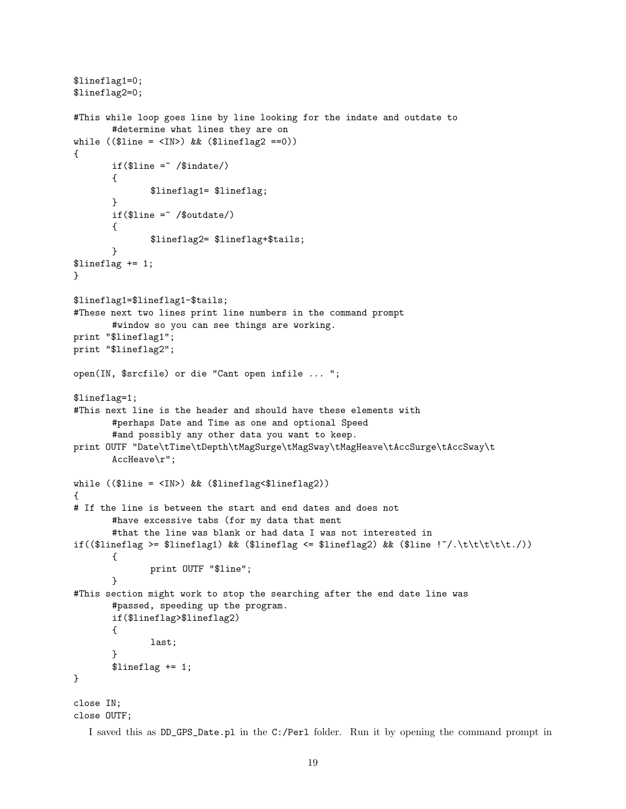```
$lineflag1=0;
$lineflag2=0;
#This while loop goes line by line looking for the indate and outdate to
       #determine what lines they are on
while (($line = <IN>) && ($lineflag2 == 0)){
       if($line = \checkmark) /$indate/)
       {
               $lineflag1= $lineflag;
       }
       if ($line = \sqrt{3}) ($000)
       {
               $lineflag2= $lineflag+$tails;
       }
$lineflag += 1;
\mathbf{r}$lineflag1=$lineflag1-$tails;
#These next two lines print line numbers in the command prompt
       #window so you can see things are working.
print "$lineflag1";
print "$lineflag2";
open(IN, $srcfile) or die "Cant open infile ... ";
$lineflag=1;
#This next line is the header and should have these elements with
       #perhaps Date and Time as one and optional Speed
       #and possibly any other data you want to keep.
print OUTF "Date\tTime\tDepth\tMagSurge\tMagSway\tMagHeave\tAccSurge\tAccSway\t
       AccHeave\r";
while (($line = <IN>) && ($lineflag<$lineflag2))
{
# If the line is between the start and end dates and does not
       #have excessive tabs (for my data that ment
       #that the line was blank or had data I was not interested in
if(($lineflag >= $lineflag1) && ($lineflag <= $lineflag2) && ($line !^{\prime}/\t\tt\t\tt\t\td('){
              print OUTF "$line";
       }
#This section might work to stop the searching after the end date line was
       #passed, speeding up the program.
       if($lineflag>$lineflag2)
       {
              last;
       }
       $lineflag += 1;
}
close IN;
```

```
close OUTF;
```
I saved this as DD\_GPS\_Date.pl in the C:/Perl folder. Run it by opening the command prompt in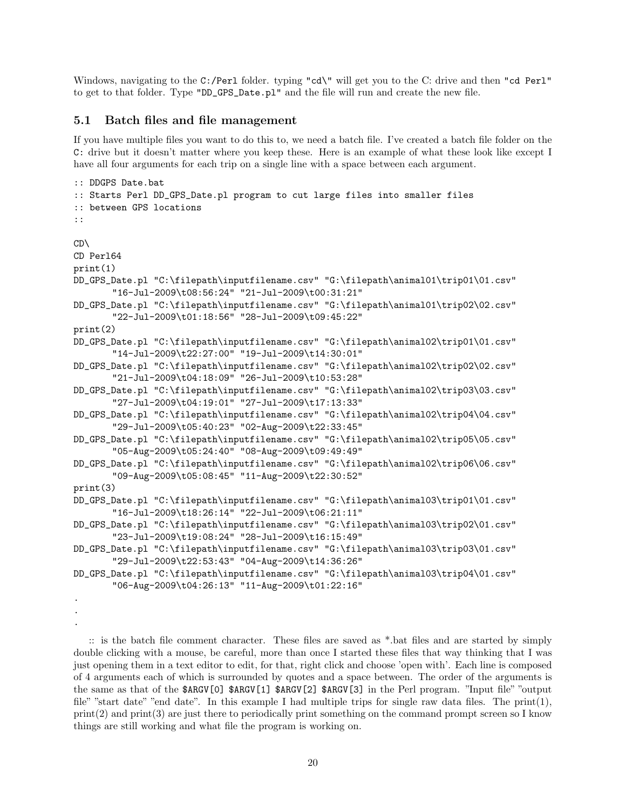Windows, navigating to the C:/Perl folder. typing "cd\" will get you to the C: drive and then "cd Perl" to get to that folder. Type "DD\_GPS\_Date.pl" and the file will run and create the new file.

#### 5.1 Batch files and file management

.

If you have multiple files you want to do this to, we need a batch file. I've created a batch file folder on the C: drive but it doesn't matter where you keep these. Here is an example of what these look like except I have all four arguments for each trip on a single line with a space between each argument.

```
:: DDGPS Date.bat
:: Starts Perl DD_GPS_Date.pl program to cut large files into smaller files
:: between GPS locations
::
CD\
CD Perl64
print(1)
DD_GPS_Date.pl "C:\filepath\inputfilename.csv" "G:\filepath\animal01\trip01\01.csv"
       "16-Jul-2009\t08:56:24" "21-Jul-2009\t00:31:21"
DD_GPS_Date.pl "C:\filepath\inputfilename.csv" "G:\filepath\animal01\trip02\02.csv"
       "22-Jul-2009\t01:18:56" "28-Jul-2009\t09:45:22"
print(2)
DD_GPS_Date.pl "C:\filepath\inputfilename.csv" "G:\filepath\animal02\trip01\01.csv"
       "14-Jul-2009\t22:27:00" "19-Jul-2009\t14:30:01"
DD_GPS_Date.pl "C:\filepath\inputfilename.csv" "G:\filepath\animal02\trip02\02.csv"
       "21-Jul-2009\t04:18:09" "26-Jul-2009\t10:53:28"
DD_GPS_Date.pl "C:\filepath\inputfilename.csv" "G:\filepath\animal02\trip03\03.csv"
       "27-Jul-2009\t04:19:01" "27-Jul-2009\t17:13:33"
DD_GPS_Date.pl "C:\filepath\inputfilename.csv" "G:\filepath\animal02\trip04\04.csv"
       "29-Jul-2009\t05:40:23" "02-Aug-2009\t22:33:45"
DD_GPS_Date.pl "C:\filepath\inputfilename.csv" "G:\filepath\animal02\trip05\05.csv"
       "05-Aug-2009\t05:24:40" "08-Aug-2009\t09:49:49"
DD_GPS_Date.pl "C:\filepath\inputfilename.csv" "G:\filepath\animal02\trip06\06.csv"
       "09-Aug-2009\t05:08:45" "11-Aug-2009\t22:30:52"
print(3)
DD_GPS_Date.pl "C:\filepath\inputfilename.csv" "G:\filepath\animal03\trip01\01.csv"
       "16-Jul-2009\t18:26:14" "22-Jul-2009\t06:21:11"
DD_GPS_Date.pl "C:\filepath\inputfilename.csv" "G:\filepath\animal03\trip02\01.csv"
       "23-Jul-2009\t19:08:24" "28-Jul-2009\t16:15:49"
DD_GPS_Date.pl "C:\filepath\inputfilename.csv" "G:\filepath\animal03\trip03\01.csv"
       "29-Jul-2009\t22:53:43" "04-Aug-2009\t14:36:26"
DD_GPS_Date.pl "C:\filepath\inputfilename.csv" "G:\filepath\animal03\trip04\01.csv"
       "06-Aug-2009\t04:26:13" "11-Aug-2009\t01:22:16"
.
.
```
:: is the batch file comment character. These files are saved as \*.bat files and are started by simply double clicking with a mouse, be careful, more than once I started these files that way thinking that I was just opening them in a text editor to edit, for that, right click and choose 'open with'. Each line is composed of 4 arguments each of which is surrounded by quotes and a space between. The order of the arguments is the same as that of the \$ARGV[0] \$ARGV[1] \$ARGV[2] \$ARGV[3] in the Perl program. "Input file" "output file" "start date" "end date". In this example I had multiple trips for single raw data files. The print(1),  $\text{print}(2)$  and  $\text{print}(3)$  are just there to periodically print something on the command prompt screen so I know things are still working and what file the program is working on.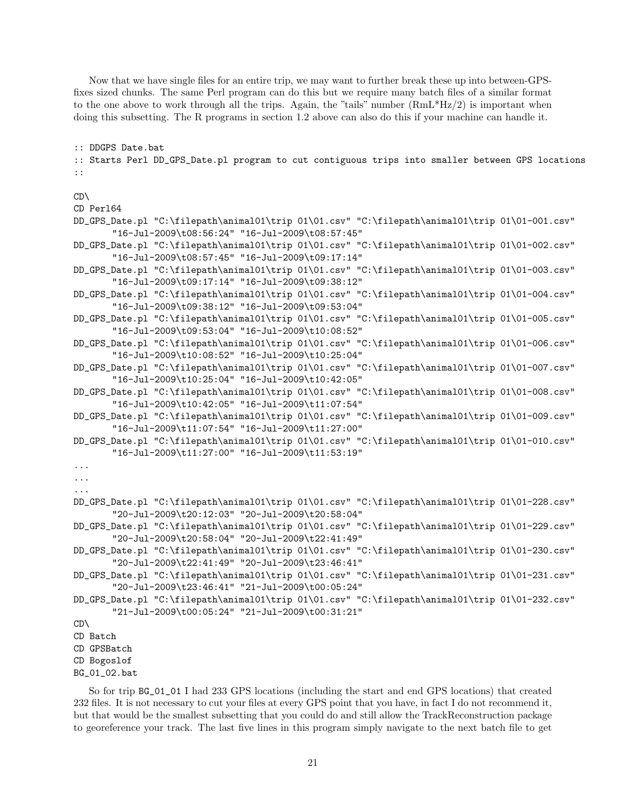Now that we have single files for an entire trip, we may want to further break these up into between-GPSfixes sized chunks. The same Perl program can do this but we require many batch files of a similar format to the one above to work through all the trips. Again, the "tails" number (RmL\*Hz/2) is important when doing this subsetting. The R programs in section 1.2 above can also do this if your machine can handle it.

:: DDGPS Date.bat

:: Starts Perl DD\_GPS\_Date.pl program to cut contiguous trips into smaller between GPS locations ::

#### CD\

```
CD Perl64
```
- DD\_GPS\_Date.pl "C:\filepath\animal01\trip 01\01.csv" "C:\filepath\animal01\trip 01\01-001.csv" "16-Jul-2009\t08:56:24" "16-Jul-2009\t08:57:45"
- DD\_GPS\_Date.pl "C:\filepath\animal01\trip 01\01.csv" "C:\filepath\animal01\trip 01\01-002.csv" "16-Jul-2009\t08:57:45" "16-Jul-2009\t09:17:14"
- DD\_GPS\_Date.pl "C:\filepath\animal01\trip 01\01.csv" "C:\filepath\animal01\trip 01\01-003.csv" "16-Jul-2009\t09:17:14" "16-Jul-2009\t09:38:12"
- DD\_GPS\_Date.pl "C:\filepath\animal01\trip 01\01.csv" "C:\filepath\animal01\trip 01\01-004.csv" "16-Jul-2009\t09:38:12" "16-Jul-2009\t09:53:04"
- DD\_GPS\_Date.pl "C:\filepath\animal01\trip 01\01.csv" "C:\filepath\animal01\trip 01\01-005.csv" "16-Jul-2009\t09:53:04" "16-Jul-2009\t10:08:52"
- DD\_GPS\_Date.pl "C:\filepath\animal01\trip 01\01.csv" "C:\filepath\animal01\trip 01\01-006.csv" "16-Jul-2009\t10:08:52" "16-Jul-2009\t10:25:04"
- DD\_GPS\_Date.pl "C:\filepath\animal01\trip 01\01.csv" "C:\filepath\animal01\trip 01\01-007.csv" "16-Jul-2009\t10:25:04" "16-Jul-2009\t10:42:05"
- DD\_GPS\_Date.pl "C:\filepath\animal01\trip 01\01.csv" "C:\filepath\animal01\trip 01\01-008.csv" "16-Jul-2009\t10:42:05" "16-Jul-2009\t11:07:54"
- DD\_GPS\_Date.pl "C:\filepath\animal01\trip 01\01.csv" "C:\filepath\animal01\trip 01\01-009.csv" "16-Jul-2009\t11:07:54" "16-Jul-2009\t11:27:00"
- DD\_GPS\_Date.pl "C:\filepath\animal01\trip 01\01.csv" "C:\filepath\animal01\trip 01\01-010.csv" "16-Jul-2009\t11:27:00" "16-Jul-2009\t11:53:19"

```
...
```
- ...
- ...
- DD\_GPS\_Date.pl "C:\filepath\animal01\trip 01\01.csv" "C:\filepath\animal01\trip 01\01-228.csv" "20-Jul-2009\t20:12:03" "20-Jul-2009\t20:58:04"
- DD\_GPS\_Date.pl "C:\filepath\animal01\trip 01\01.csv" "C:\filepath\animal01\trip 01\01-229.csv" "20-Jul-2009\t20:58:04" "20-Jul-2009\t22:41:49"
- DD\_GPS\_Date.pl "C:\filepath\animal01\trip 01\01.csv" "C:\filepath\animal01\trip 01\01-230.csv" "20-Jul-2009\t22:41:49" "20-Jul-2009\t23:46:41"
- DD\_GPS\_Date.pl "C:\filepath\animal01\trip 01\01.csv" "C:\filepath\animal01\trip 01\01-231.csv" "20-Jul-2009\t23:46:41" "21-Jul-2009\t00:05:24"
- DD\_GPS\_Date.pl "C:\filepath\animal01\trip 01\01.csv" "C:\filepath\animal01\trip 01\01-232.csv" "21-Jul-2009\t00:05:24" "21-Jul-2009\t00:31:21"

```
CD\
```

```
CD Batch
```
CD GPSBatch

```
CD Bogoslof
```

```
BG_01_02.bat
```
So for trip BG\_01\_01 I had 233 GPS locations (including the start and end GPS locations) that created 232 files. It is not necessary to cut your files at every GPS point that you have, in fact I do not recommend it, but that would be the smallest subsetting that you could do and still allow the TrackReconstruction package to georeference your track. The last five lines in this program simply navigate to the next batch file to get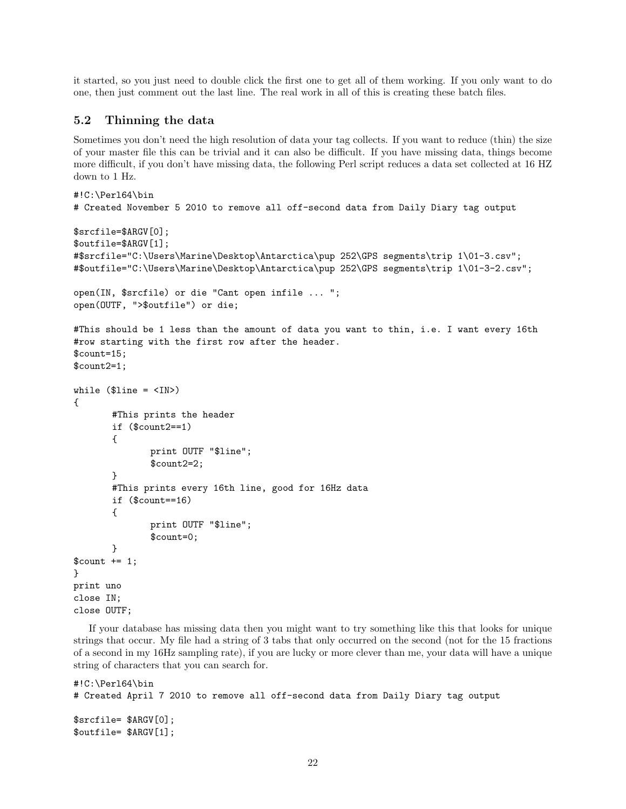it started, so you just need to double click the first one to get all of them working. If you only want to do one, then just comment out the last line. The real work in all of this is creating these batch files.

#### 5.2 Thinning the data

Sometimes you don't need the high resolution of data your tag collects. If you want to reduce (thin) the size of your master file this can be trivial and it can also be difficult. If you have missing data, things become more difficult, if you don't have missing data, the following Perl script reduces a data set collected at 16 HZ down to 1 Hz.

```
#!C:\Perl64\bin
# Created November 5 2010 to remove all off-second data from Daily Diary tag output
$srcfile=$ARGV[0];
$outfile=$ARGV[1];
#$srcfile="C:\Users\Marine\Desktop\Antarctica\pup 252\GPS segments\trip 1\01-3.csv";
#$outfile="C:\Users\Marine\Desktop\Antarctica\pup 252\GPS segments\trip 1\01-3-2.csv";
open(IN, $srcfile) or die "Cant open infile ... ";
open(OUTF, ">$outfile") or die;
#This should be 1 less than the amount of data you want to thin, i.e. I want every 16th
#row starting with the first row after the header.
$count=15;
$count2=1;
while ($line = <IN>)
{
       #This prints the header
       if ($count2==1)
       {
              print OUTF "$line";
              $count2=2;
       }
       #This prints every 16th line, good for 16Hz data
       if ($count==16)
       {
              print OUTF "$line";
              $count=0;
       }
$count += 1;}
print uno
close IN;
close OUTF;
```
If your database has missing data then you might want to try something like this that looks for unique strings that occur. My file had a string of 3 tabs that only occurred on the second (not for the 15 fractions of a second in my 16Hz sampling rate), if you are lucky or more clever than me, your data will have a unique string of characters that you can search for.

```
#!C:\Perl64\bin
# Created April 7 2010 to remove all off-second data from Daily Diary tag output
$srcfile= $ARGV[0];
$outfile= $ARGV[1];
```